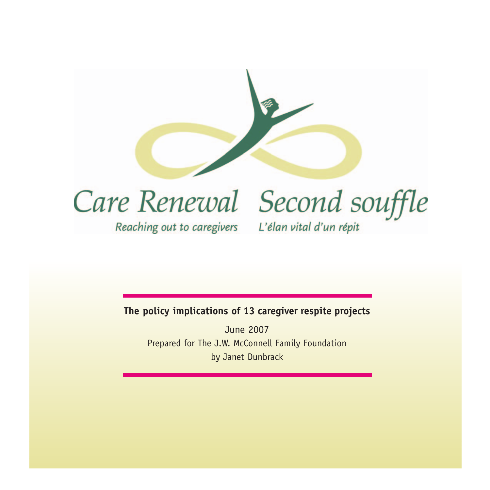

Reaching out to caregivers L'élan vital d'un répit

**The policy implications of 13 caregiver respite projects**

June 2007 Prepared for The J.W. McConnell Family Foundation by Janet Dunbrack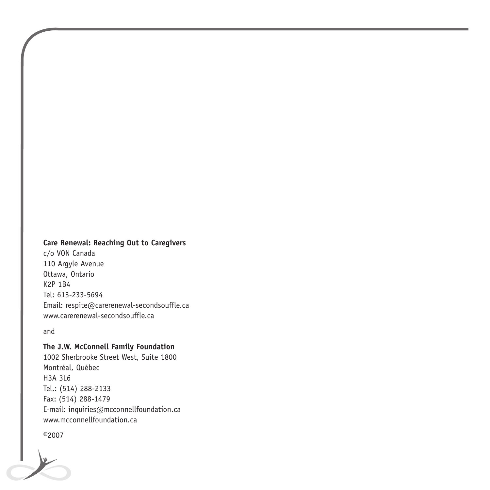#### **Care Renewal: Reaching Out to Caregivers**

c/o VON Canada 110 Argyle Avenue Ottawa, Ontario K2P 1B4 Tel: 613-233-5694 Email: respite@carerenewal-secondsouffle.ca www.carerenewal-secondsouffle.ca

and

#### **The J.W. McConnell Family Foundation**

1002 Sherbrooke Street West, Suite 1800 Montréal, Québec H3A 3L6 Tel.: (514) 288-2133 Fax: (514) 288-1479 E-mail: inquiries@mcconnellfoundation.ca www.mcconnellfoundation.ca

©2007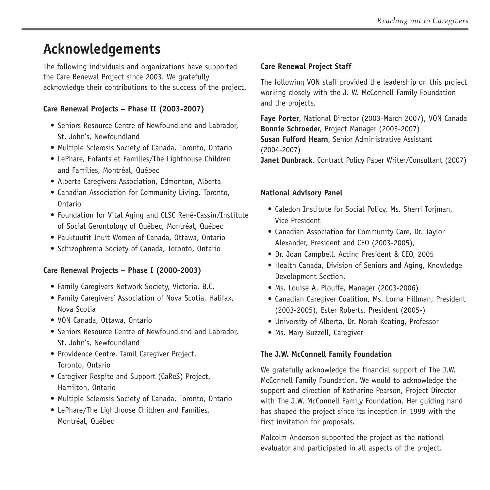# **Acknowledgements**

The following individuals and organizations have supported the Care Renewal Project since 2003. We gratefully acknowledge their contributions to the success of the project.

### **Care Renewal Projects – Phase II (2003-2007)**

- Seniors Resource Centre of Newfoundland and Labrador, St. John's, Newfoundland
- Multiple Sclerosis Society of Canada, Toronto, Ontario
- LePhare, Enfants et Familles/The Lighthouse Children and Families, Montréal, Québec
- Alberta Caregivers Association, Edmonton, Alberta
- Canadian Association for Community Living, Toronto, Ontario
- Foundation for Vital Aging and CLSC René-Cassin/Institute of Social Gerontology of Québec, Montréal, Québec
- Pauktuutit Inuit Women of Canada, Ottawa, Ontario
- Schizophrenia Society of Canada, Toronto, Ontario

## **Care Renewal Projects – Phase I (2000-2003)**

- Family Caregivers Network Society, Victoria, B.C.
- Family Caregivers' Association of Nova Scotia, Halifax, Nova Scotia
- VON Canada, Ottawa, Ontario
- Seniors Resource Centre of Newfoundland and Labrador, St. John's, Newfoundland
- Providence Centre, Tamil Caregiver Project, Toronto, Ontario
- Caregiver Respite and Support (CaReS) Project, Hamilton, Ontario
- Multiple Sclerosis Society of Canada, Toronto, Ontario
- LePhare/The Lighthouse Children and Families, Montréal, Québec

## **Care Renewal Project Staff**

The following VON staff provided the leadership on this project working closely with the J. W. McConnell Family Foundation and the projects.

**Faye Porter**, National Director (2003-March 2007), VON Canada **Bonnie Schroede**r, Project Manager (2003-2007) **Susan Fulford Hearn**, Senior Administrative Assistant (2004-2007) **Janet Dunbrack**, Contract Policy Paper Writer/Consultant (2007)

## **National Advisory Panel**

- Caledon Institute for Social Policy, Ms. Sherri Torjman, Vice President
- Canadian Association for Community Care, Dr. Taylor Alexander, President and CEO (2003-2005),
- Dr. Joan Campbell, Acting President & CEO, 2005
- Health Canada, Division of Seniors and Aging, Knowledge Development Section,
- Ms. Louise A. Plouffe, Manager (2003-2006)
- Canadian Caregiver Coalition, Ms. Lorna Hillman, President (2003-2005), Ester Roberts, President (2005-)
- University of Alberta, Dr. Norah Keating, Professor
- Ms. Mary Buzzell, Caregiver

## **The J.W. McConnell Family Foundation**

We gratefully acknowledge the financial support of The J.W. McConnell Family Foundation. We would to acknowledge the support and direction of Katharine Pearson, Project Director with The J.W. McConnell Family Foundation. Her guiding hand has shaped the project since its inception in 1999 with the first invitation for proposals.

Malcolm Anderson supported the project as the national evaluator and participated in all aspects of the project.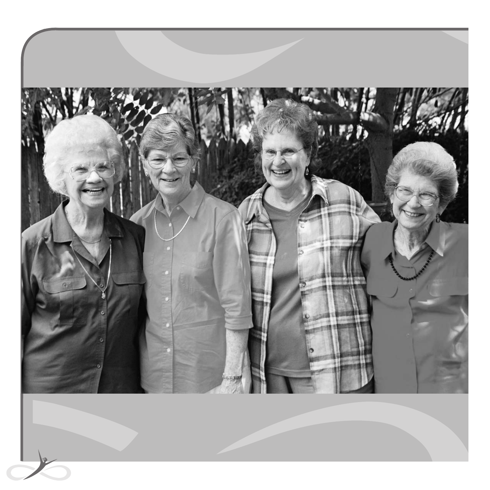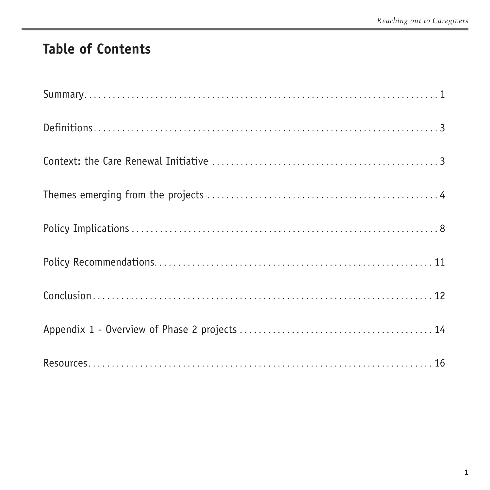# **Table of Contents**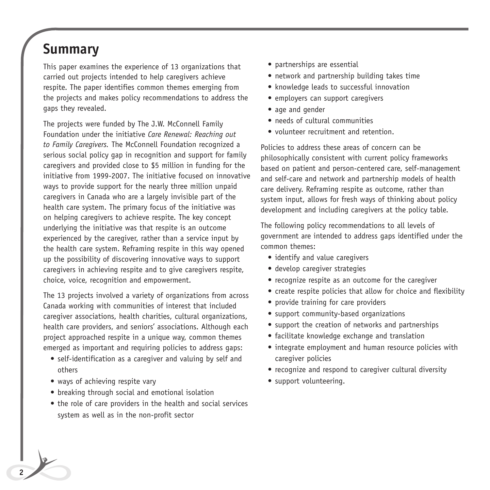# **Summary**

This paper examines the experience of 13 organizations that carried out projects intended to help caregivers achieve respite. The paper identifies common themes emerging from the projects and makes policy recommendations to address the gaps they revealed.

The projects were funded by The J.W. McConnell Family Foundation under the initiative *Care Renewal: Reaching out to Family Caregivers.* The McConnell Foundation recognized a serious social policy gap in recognition and support for family caregivers and provided close to \$5 million in funding for the initiative from 1999-2007. The initiative focused on innovative ways to provide support for the nearly three million unpaid caregivers in Canada who are a largely invisible part of the health care system. The primary focus of the initiative was on helping caregivers to achieve respite. The key concept underlying the initiative was that respite is an outcome experienced by the caregiver, rather than a service input by the health care system. Reframing respite in this way opened up the possibility of discovering innovative ways to support caregivers in achieving respite and to give caregivers respite, choice, voice, recognition and empowerment.

The 13 projects involved a variety of organizations from across Canada working with communities of interest that included caregiver associations, health charities, cultural organizations, health care providers, and seniors' associations. Although each project approached respite in a unique way, common themes emerged as important and requiring policies to address gaps:

- self-identification as a caregiver and valuing by self and others
- ways of achieving respite vary
- breaking through social and emotional isolation
- the role of care providers in the health and social services system as well as in the non-profit sector
- partnerships are essential
- network and partnership building takes time
- knowledge leads to successful innovation
- employers can support caregivers
- age and gender
- needs of cultural communities
- volunteer recruitment and retention.

Policies to address these areas of concern can be philosophically consistent with current policy frameworks based on patient and person-centered care, self-management and self-care and network and partnership models of health care delivery. Reframing respite as outcome, rather than system input, allows for fresh ways of thinking about policy development and including caregivers at the policy table.

The following policy recommendations to all levels of government are intended to address gaps identified under the common themes:

- identify and value caregivers
- develop caregiver strategies
- recognize respite as an outcome for the caregiver
- create respite policies that allow for choice and flexibility
- provide training for care providers
- support community-based organizations
- support the creation of networks and partnerships
- facilitate knowledge exchange and translation
- integrate employment and human resource policies with caregiver policies
- recognize and respond to caregiver cultural diversity
- support volunteering.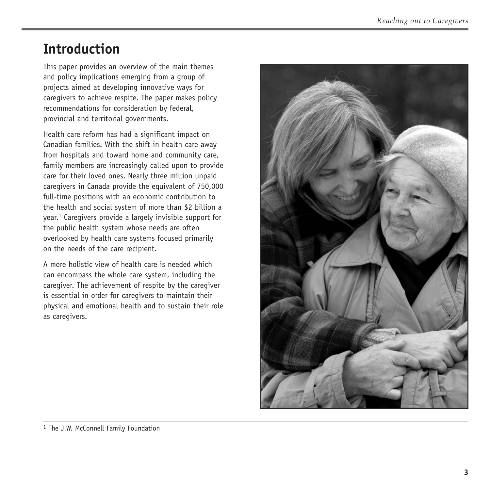# **Introduction**

This paper provides an overview of the main themes and policy implications emerging from a group of projects aimed at developing innovative ways for caregivers to achieve respite. The paper makes policy recommendations for consideration by federal, provincial and territorial governments.

Health care reform has had a significant impact on Canadian families. With the shift in health care away from hospitals and toward home and community care, family members are increasingly called upon to provide care for their loved ones. Nearly three million unpaid caregivers in Canada provide the equivalent of 750,000 full-time positions with an economic contribution to the health and social system of more than \$2 billion a year.1 Caregivers provide a largely invisible support for the public health system whose needs are often overlooked by health care systems focused primarily on the needs of the care recipient.

A more holistic view of health care is needed which can encompass the whole care system, including the caregiver. The achievement of respite by the caregiver is essential in order for caregivers to maintain their physical and emotional health and to sustain their role as caregivers.



1 The J.W. McConnell Family Foundation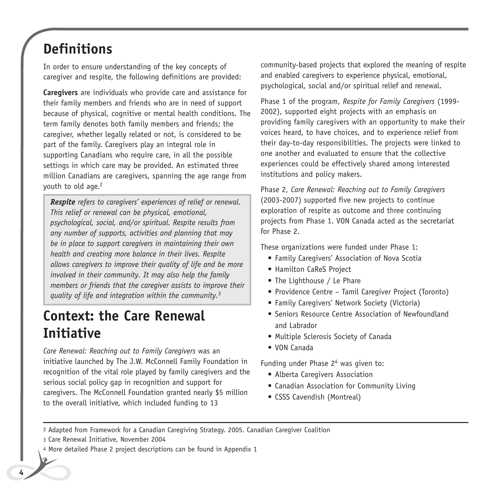# **Definitions**

In order to ensure understanding of the key concepts of caregiver and respite, the following definitions are provided:

**Caregivers** are individuals who provide care and assistance for their family members and friends who are in need of support because of physical, cognitive or mental health conditions. The term family denotes both family members and friends; the caregiver, whether legally related or not, is considered to be part of the family. Caregivers play an integral role in supporting Canadians who require care, in all the possible settings in which care may be provided. An estimated three million Canadians are caregivers, spanning the age range from youth to old age.<sup>2</sup>

*Respite refers to caregivers' experiences of relief or renewal. This relief or renewal can be physical, emotional, psychological, social, and/or spiritual. Respite results from any number of supports, activities and planning that may be in place to support caregivers in maintaining their own health and creating more balance in their lives. Respite allows caregivers to improve their quality of life and be more involved in their community. It may also help the family members or friends that the caregiver assists to improve their quality of life and integration within the community.*<sup>3</sup>

# **Context: the Care Renewal Initiative**

*Care Renewal: Reaching out to Family Caregivers* was an initiative launched by The J.W. McConnell Family Foundation in recognition of the vital role played by family caregivers and the serious social policy gap in recognition and support for caregivers. The McConnell Foundation granted nearly \$5 million to the overall initiative, which included funding to 13

community-based projects that explored the meaning of respite and enabled caregivers to experience physical, emotional, psychological, social and/or spiritual relief and renewal.

Phase 1 of the program, *Respite for Family Caregivers* (1999- 2002), supported eight projects with an emphasis on providing family caregivers with an opportunity to make their voices heard, to have choices, and to experience relief from their day-to-day responsibilities. The projects were linked to one another and evaluated to ensure that the collective experiences could be effectively shared among interested institutions and policy makers.

Phase 2, *Care Renewal: Reaching out to Family Caregivers* (2003-2007) supported five new projects to continue exploration of respite as outcome and three continuing projects from Phase 1. VON Canada acted as the secretariat for Phase 2.

These organizations were funded under Phase 1:

- Family Caregivers' Association of Nova Scotia
- Hamilton CaReS Project
- The Lighthouse / Le Phare
- Providence Centre Tamil Caregiver Project (Toronto)
- Family Caregivers' Network Society (Victoria)
- Seniors Resource Centre Association of Newfoundland and Labrador
- Multiple Sclerosis Society of Canada
- VON Canada

Funding under Phase  $2<sup>4</sup>$  was given to:

- Alberta Caregivers Association
- Canadian Association for Community Living
- CSSS Cavendish (Montreal)

4 More detailed Phase 2 project descriptions can be found in Appendix 1

<sup>2</sup> Adapted from Framework for a Canadian Caregiving Strategy. 2005. Canadian Caregiver Coalition

<sup>3</sup> Care Renewal Initiative, November 2004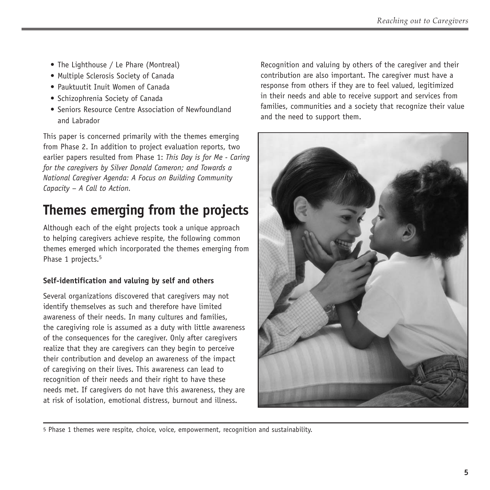- The Lighthouse / Le Phare (Montreal)
- Multiple Sclerosis Society of Canada
- Pauktuutit Inuit Women of Canada
- Schizophrenia Society of Canada
- Seniors Resource Centre Association of Newfoundland and Labrador

This paper is concerned primarily with the themes emerging from Phase 2. In addition to project evaluation reports, two earlier papers resulted from Phase 1: *This Day is for Me - Caring for the caregivers by Silver Donald Cameron; and Towards a National Caregiver Agenda: A Focus on Building Community Capacity – A Call to Action.* 

# **Themes emerging from the projects**

Although each of the eight projects took a unique approach to helping caregivers achieve respite, the following common themes emerged which incorporated the themes emerging from Phase 1 projects.<sup>5</sup>

## **Self-identification and valuing by self and others**

Several organizations discovered that caregivers may not identify themselves as such and therefore have limited awareness of their needs. In many cultures and families, the caregiving role is assumed as a duty with little awareness of the consequences for the caregiver. Only after caregivers realize that they are caregivers can they begin to perceive their contribution and develop an awareness of the impact of caregiving on their lives. This awareness can lead to recognition of their needs and their right to have these needs met. If caregivers do not have this awareness, they are at risk of isolation, emotional distress, burnout and illness.

Recognition and valuing by others of the caregiver and their contribution are also important. The caregiver must have a response from others if they are to feel valued, legitimized in their needs and able to receive support and services from families, communities and a society that recognize their value and the need to support them.



5 Phase 1 themes were respite, choice, voice, empowerment, recognition and sustainability.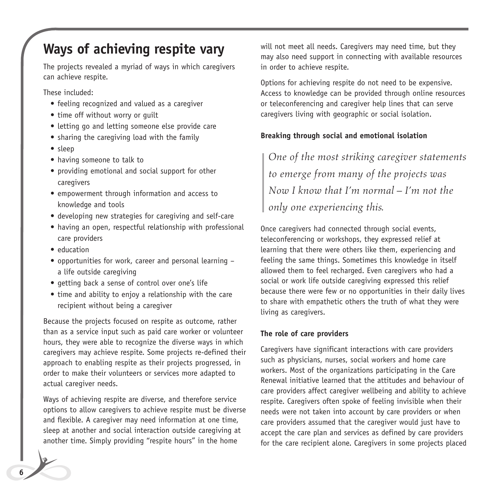# **Ways of achieving respite vary**

The projects revealed a myriad of ways in which caregivers can achieve respite.

These included:

- feeling recognized and valued as a caregiver
- time off without worry or guilt
- letting go and letting someone else provide care
- sharing the caregiving load with the family
- sleep
- having someone to talk to
- providing emotional and social support for other caregivers
- empowerment through information and access to knowledge and tools
- developing new strategies for caregiving and self-care
- having an open, respectful relationship with professional care providers
- education
- opportunities for work, career and personal learning a life outside caregiving
- getting back a sense of control over one's life
- time and ability to enjoy a relationship with the care recipient without being a caregiver

Because the projects focused on respite as outcome, rather than as a service input such as paid care worker or volunteer hours, they were able to recognize the diverse ways in which caregivers may achieve respite. Some projects re-defined their approach to enabling respite as their projects progressed, in order to make their volunteers or services more adapted to actual caregiver needs.

Ways of achieving respite are diverse, and therefore service options to allow caregivers to achieve respite must be diverse and flexible. A caregiver may need information at one time, sleep at another and social interaction outside caregiving at another time. Simply providing "respite hours" in the home

will not meet all needs. Caregivers may need time, but they may also need support in connecting with available resources in order to achieve respite.

Options for achieving respite do not need to be expensive. Access to knowledge can be provided through online resources or teleconferencing and caregiver help lines that can serve caregivers living with geographic or social isolation.

### **Breaking through social and emotional isolation**

*One of the most striking caregiver statements to emerge from many of the projects was Now I know that I'm normal – I'm not the only one experiencing this.*

Once caregivers had connected through social events, teleconferencing or workshops, they expressed relief at learning that there were others like them, experiencing and feeling the same things. Sometimes this knowledge in itself allowed them to feel recharged. Even caregivers who had a social or work life outside caregiving expressed this relief because there were few or no opportunities in their daily lives to share with empathetic others the truth of what they were living as caregivers.

#### **The role of care providers**

Caregivers have significant interactions with care providers such as physicians, nurses, social workers and home care workers. Most of the organizations participating in the Care Renewal initiative learned that the attitudes and behaviour of care providers affect caregiver wellbeing and ability to achieve respite. Caregivers often spoke of feeling invisible when their needs were not taken into account by care providers or when care providers assumed that the caregiver would just have to accept the care plan and services as defined by care providers for the care recipient alone. Caregivers in some projects placed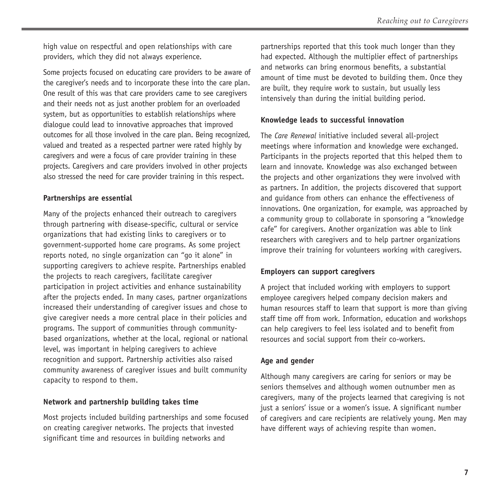high value on respectful and open relationships with care providers, which they did not always experience.

Some projects focused on educating care providers to be aware of the caregiver's needs and to incorporate these into the care plan. One result of this was that care providers came to see caregivers and their needs not as just another problem for an overloaded system, but as opportunities to establish relationships where dialogue could lead to innovative approaches that improved outcomes for all those involved in the care plan. Being recognized, valued and treated as a respected partner were rated highly by caregivers and were a focus of care provider training in these projects. Caregivers and care providers involved in other projects also stressed the need for care provider training in this respect.

#### **Partnerships are essential**

Many of the projects enhanced their outreach to caregivers through partnering with disease-specific, cultural or service organizations that had existing links to caregivers or to government-supported home care programs. As some project reports noted, no single organization can "go it alone" in supporting caregivers to achieve respite. Partnerships enabled the projects to reach caregivers, facilitate caregiver participation in project activities and enhance sustainability after the projects ended. In many cases, partner organizations increased their understanding of caregiver issues and chose to give caregiver needs a more central place in their policies and programs. The support of communities through communitybased organizations, whether at the local, regional or national level, was important in helping caregivers to achieve recognition and support. Partnership activities also raised community awareness of caregiver issues and built community capacity to respond to them.

#### **Network and partnership building takes time**

Most projects included building partnerships and some focused on creating caregiver networks. The projects that invested significant time and resources in building networks and

partnerships reported that this took much longer than they had expected. Although the multiplier effect of partnerships and networks can bring enormous benefits, a substantial amount of time must be devoted to building them. Once they are built, they require work to sustain, but usually less intensively than during the initial building period.

#### **Knowledge leads to successful innovation**

The *Care Renewal* initiative included several all-project meetings where information and knowledge were exchanged. Participants in the projects reported that this helped them to learn and innovate. Knowledge was also exchanged between the projects and other organizations they were involved with as partners. In addition, the projects discovered that support and guidance from others can enhance the effectiveness of innovations. One organization, for example, was approached by a community group to collaborate in sponsoring a "knowledge cafe" for caregivers. Another organization was able to link researchers with caregivers and to help partner organizations improve their training for volunteers working with caregivers.

#### **Employers can support caregivers**

A project that included working with employers to support employee caregivers helped company decision makers and human resources staff to learn that support is more than giving staff time off from work. Information, education and workshops can help caregivers to feel less isolated and to benefit from resources and social support from their co-workers.

#### **Age and gender**

Although many caregivers are caring for seniors or may be seniors themselves and although women outnumber men as caregivers, many of the projects learned that caregiving is not just a seniors' issue or a women's issue. A significant number of caregivers and care recipients are relatively young. Men may have different ways of achieving respite than women.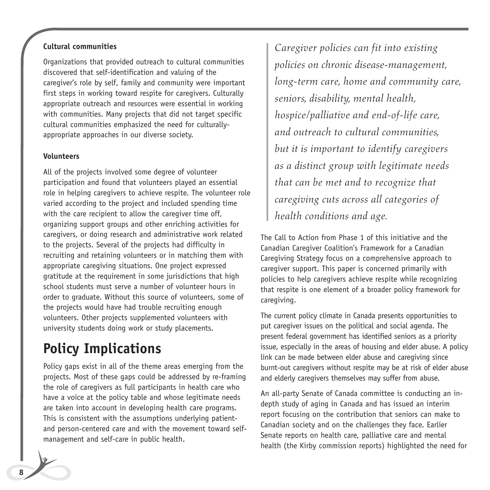#### **Cultural communities**

Organizations that provided outreach to cultural communities discovered that self-identification and valuing of the caregiver's role by self, family and community were important first steps in working toward respite for caregivers. Culturally appropriate outreach and resources were essential in working with communities. Many projects that did not target specific cultural communities emphasized the need for culturallyappropriate approaches in our diverse society.

#### **Volunteers**

All of the projects involved some degree of volunteer participation and found that volunteers played an essential role in helping caregivers to achieve respite. The volunteer role varied according to the project and included spending time with the care recipient to allow the caregiver time off, organizing support groups and other enriching activities for caregivers, or doing research and administrative work related to the projects. Several of the projects had difficulty in recruiting and retaining volunteers or in matching them with appropriate caregiving situations. One project expressed gratitude at the requirement in some jurisdictions that high school students must serve a number of volunteer hours in order to graduate. Without this source of volunteers, some of the projects would have had trouble recruiting enough volunteers. Other projects supplemented volunteers with university students doing work or study placements.

# **Policy Implications**

Policy gaps exist in all of the theme areas emerging from the projects. Most of these gaps could be addressed by re-framing the role of caregivers as full participants in health care who have a voice at the policy table and whose legitimate needs are taken into account in developing health care programs. This is consistent with the assumptions underlying patientand person-centered care and with the movement toward selfmanagement and self-care in public health.

*Caregiver policies can fit into existing policies on chronic disease-management, long-term care, home and community care, seniors, disability, mental health, hospice/palliative and end-of-life care, and outreach to cultural communities, but it is important to identify caregivers as a distinct group with legitimate needs that can be met and to recognize that caregiving cuts across all categories of health conditions and age.*

The Call to Action from Phase 1 of this initiative and the Canadian Caregiver Coalition's Framework for a Canadian Caregiving Strategy focus on a comprehensive approach to caregiver support. This paper is concerned primarily with policies to help caregivers achieve respite while recognizing that respite is one element of a broader policy framework for caregiving.

The current policy climate in Canada presents opportunities to put caregiver issues on the political and social agenda. The present federal government has identified seniors as a priority issue, especially in the areas of housing and elder abuse. A policy link can be made between elder abuse and caregiving since burnt-out caregivers without respite may be at risk of elder abuse and elderly caregivers themselves may suffer from abuse.

An all-party Senate of Canada committee is conducting an indepth study of aging in Canada and has issued an interim report focusing on the contribution that seniors can make to Canadian society and on the challenges they face. Earlier Senate reports on health care, palliative care and mental health (the Kirby commission reports) highlighted the need for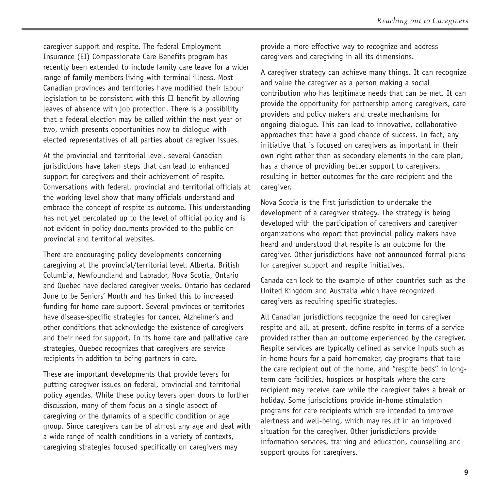caregiver support and respite. The federal Employment Insurance (EI) Compassionate Care Benefits program has recently been extended to include family care leave for a wider range of family members living with terminal illness. Most Canadian provinces and territories have modified their labour legislation to be consistent with this EI benefit by allowing leaves of absence with job protection. There is a possibility that a federal election may be called within the next year or two, which presents opportunities now to dialogue with elected representatives of all parties about caregiver issues.

At the provincial and territorial level, several Canadian jurisdictions have taken steps that can lead to enhanced support for caregivers and their achievement of respite. Conversations with federal, provincial and territorial officials at the working level show that many officials understand and embrace the concept of respite as outcome. This understanding has not yet percolated up to the level of official policy and is not evident in policy documents provided to the public on provincial and territorial websites.

There are encouraging policy developments concerning caregiving at the provincial/territorial level. Alberta, British Columbia, Newfoundland and Labrador, Nova Scotia, Ontario and Quebec have declared caregiver weeks. Ontario has declared June to be Seniors' Month and has linked this to increased funding for home care support. Several provinces or territories have disease-specific strategies for cancer, Alzheimer's and other conditions that acknowledge the existence of caregivers and their need for support. In its home care and palliative care strategies, Quebec recognizes that caregivers are service recipients in addition to being partners in care.

These are important developments that provide levers for putting caregiver issues on federal, provincial and territorial policy agendas. While these policy levers open doors to further discussion, many of them focus on a single aspect of caregiving or the dynamics of a specific condition or age group. Since caregivers can be of almost any age and deal with a wide range of health conditions in a variety of contexts, caregiving strategies focused specifically on caregivers may

provide a more effective way to recognize and address caregivers and caregiving in all its dimensions.

A caregiver strategy can achieve many things. It can recognize and value the caregiver as a person making a social contribution who has legitimate needs that can be met. It can provide the opportunity for partnership among caregivers, care providers and policy makers and create mechanisms for ongoing dialogue. This can lead to innovative, collaborative approaches that have a good chance of success. In fact, any initiative that is focused on caregivers as important in their own right rather than as secondary elements in the care plan, has a chance of providing better support to caregivers, resulting in better outcomes for the care recipient and the caregiver.

Nova Scotia is the first jurisdiction to undertake the development of a caregiver strategy. The strategy is being developed with the participation of caregivers and caregiver organizations who report that provincial policy makers have heard and understood that respite is an outcome for the caregiver. Other jurisdictions have not announced formal plans for caregiver support and respite initiatives.

Canada can look to the example of other countries such as the United Kingdom and Australia which have recognized caregivers as requiring specific strategies.

All Canadian jurisdictions recognize the need for caregiver respite and all, at present, define respite in terms of a service provided rather than an outcome experienced by the caregiver. Respite services are typically defined as service inputs such as in-home hours for a paid homemaker, day programs that take the care recipient out of the home, and "respite beds" in longterm care facilities, hospices or hospitals where the care recipient may receive care while the caregiver takes a break or holiday. Some jurisdictions provide in-home stimulation programs for care recipients which are intended to improve alertness and well-being, which may result in an improved situation for the caregiver. Other jurisdictions provide information services, training and education, counselling and support groups for caregivers.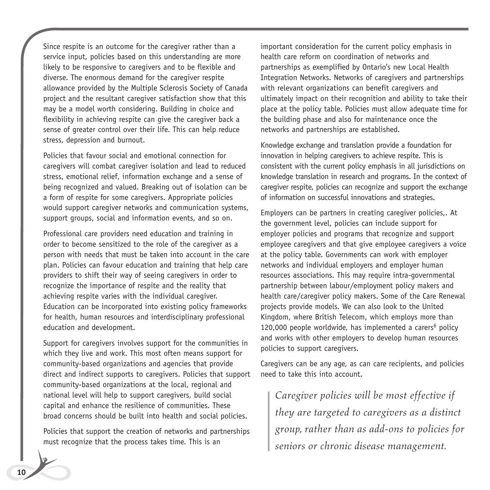Since respite is an outcome for the caregiver rather than a service input, policies based on this understanding are more likely to be responsive to caregivers and to be flexible and diverse. The enormous demand for the caregiver respite allowance provided by the Multiple Sclerosis Society of Canada project and the resultant caregiver satisfaction show that this may be a model worth considering. Building in choice and flexibility in achieving respite can give the caregiver back a sense of greater control over their life. This can help reduce stress, depression and burnout.

Policies that favour social and emotional connection for caregivers will combat caregiver isolation and lead to reduced stress, emotional relief, information exchange and a sense of being recognized and valued. Breaking out of isolation can be a form of respite for some caregivers. Appropriate policies would support caregiver networks and communication systems, support groups, social and information events, and so on.

Professional care providers need education and training in order to become sensitized to the role of the caregiver as a person with needs that must be taken into account in the care plan. Policies can favour education and training that help care providers to shift their way of seeing caregivers in order to recognize the importance of respite and the reality that achieving respite varies with the individual caregiver. Education can be incorporated into existing policy frameworks for health, human resources and interdisciplinary professional education and development.

Support for caregivers involves support for the communities in which they live and work. This most often means support for community-based organizations and agencies that provide direct and indirect supports to caregivers. Policies that support community-based organizations at the local, regional and national level will help to support caregivers, build social capital and enhance the resilience of communities. These broad concerns should be built into health and social policies.

Policies that support the creation of networks and partnerships must recognize that the process takes time. This is an

important consideration for the current policy emphasis in health care reform on coordination of networks and partnerships as exemplified by Ontario's new Local Health Integration Networks. Networks of caregivers and partnerships with relevant organizations can benefit caregivers and ultimately impact on their recognition and ability to take their place at the policy table. Policies must allow adequate time for the building phase and also for maintenance once the networks and partnerships are established.

Knowledge exchange and translation provide a foundation for innovation in helping caregivers to achieve respite. This is consistent with the current policy emphasis in all jurisdictions on knowledge translation in research and programs. In the context of caregiver respite, policies can recognize and support the exchange of information on successful innovations and strategies.

Employers can be partners in creating caregiver policies,. At the government level, policies can include support for employer policies and programs that recognize and support employee caregivers and that give employee caregivers a voice at the policy table. Governments can work with employer networks and individual employers and employer human resources associations. This may require intra-governmental partnership between labour/employment policy makers and health care/caregiver policy makers. Some of the Care Renewal projects provide models. We can also look to the United Kingdom, where British Telecom, which employs more than 120,000 people worldwide, has implemented a carers<sup>6</sup> policy and works with other employers to develop human resources policies to support caregivers.

Caregivers can be any age, as can care recipients, and policies need to take this into account.

*Caregiver policies will be most effective if they are targeted to caregivers as a distinct group, rather than as add-ons to policies for seniors or chronic disease management.*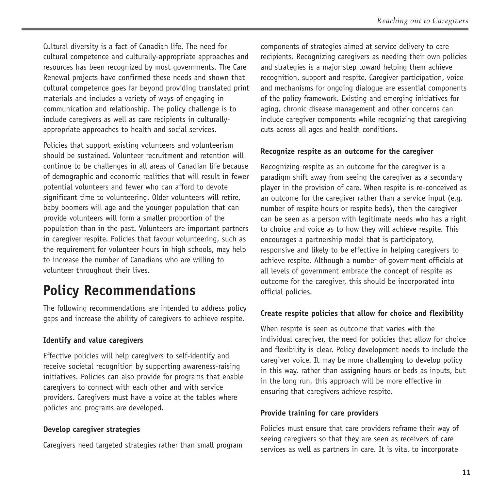Cultural diversity is a fact of Canadian life. The need for cultural competence and culturally-appropriate approaches and resources has been recognized by most governments. The Care Renewal projects have confirmed these needs and shown that cultural competence goes far beyond providing translated print materials and includes a variety of ways of engaging in communication and relationship. The policy challenge is to include caregivers as well as care recipients in culturallyappropriate approaches to health and social services.

Policies that support existing volunteers and volunteerism should be sustained. Volunteer recruitment and retention will continue to be challenges in all areas of Canadian life because of demographic and economic realities that will result in fewer potential volunteers and fewer who can afford to devote significant time to volunteering. Older volunteers will retire, baby boomers will age and the younger population that can provide volunteers will form a smaller proportion of the population than in the past. Volunteers are important partners in caregiver respite. Policies that favour volunteering, such as the requirement for volunteer hours in high schools, may help to increase the number of Canadians who are willing to volunteer throughout their lives.

# **Policy Recommendations**

The following recommendations are intended to address policy gaps and increase the ability of caregivers to achieve respite.

#### **Identify and value caregivers**

Effective policies will help caregivers to self-identify and receive societal recognition by supporting awareness-raising initiatives. Policies can also provide for programs that enable caregivers to connect with each other and with service providers. Caregivers must have a voice at the tables where policies and programs are developed.

#### **Develop caregiver strategies**

Caregivers need targeted strategies rather than small program

components of strategies aimed at service delivery to care recipients. Recognizing caregivers as needing their own policies and strategies is a major step toward helping them achieve recognition, support and respite. Caregiver participation, voice and mechanisms for ongoing dialogue are essential components of the policy framework. Existing and emerging initiatives for aging, chronic disease management and other concerns can include caregiver components while recognizing that caregiving cuts across all ages and health conditions.

#### **Recognize respite as an outcome for the caregiver**

Recognizing respite as an outcome for the caregiver is a paradigm shift away from seeing the caregiver as a secondary player in the provision of care. When respite is re-conceived as an outcome for the caregiver rather than a service input (e.g. number of respite hours or respite beds), then the caregiver can be seen as a person with legitimate needs who has a right to choice and voice as to how they will achieve respite. This encourages a partnership model that is participatory, responsive and likely to be effective in helping caregivers to achieve respite. Although a number of government officials at all levels of government embrace the concept of respite as outcome for the caregiver, this should be incorporated into official policies.

#### **Create respite policies that allow for choice and flexibility**

When respite is seen as outcome that varies with the individual caregiver, the need for policies that allow for choice and flexibility is clear. Policy development needs to include the caregiver voice. It may be more challenging to develop policy in this way, rather than assigning hours or beds as inputs, but in the long run, this approach will be more effective in ensuring that caregivers achieve respite.

#### **Provide training for care providers**

Policies must ensure that care providers reframe their way of seeing caregivers so that they are seen as receivers of care services as well as partners in care. It is vital to incorporate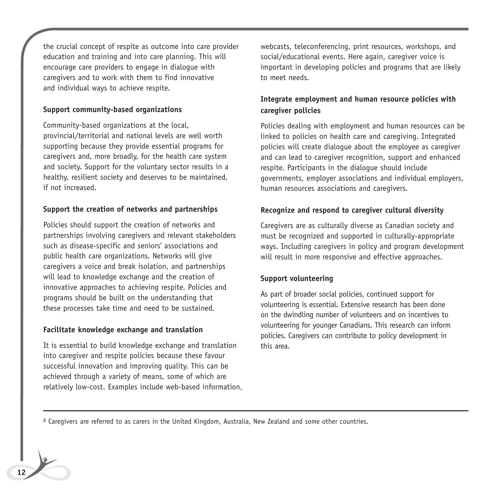the crucial concept of respite as outcome into care provider education and training and into care planning. This will encourage care providers to engage in dialogue with caregivers and to work with them to find innovative and individual ways to achieve respite.

#### **Support community-based organizations**

Community-based organizations at the local, provincial/territorial and national levels are well worth supporting because they provide essential programs for caregivers and, more broadly, for the health care system and society. Support for the voluntary sector results in a healthy, resilient society and deserves to be maintained, if not increased.

#### **Support the creation of networks and partnerships**

Policies should support the creation of networks and partnerships involving caregivers and relevant stakeholders such as disease-specific and seniors' associations and public health care organizations. Networks will give caregivers a voice and break isolation, and partnerships will lead to knowledge exchange and the creation of innovative approaches to achieving respite. Policies and programs should be built on the understanding that these processes take time and need to be sustained.

#### **Facilitate knowledge exchange and translation**

It is essential to build knowledge exchange and translation into caregiver and respite policies because these favour successful innovation and improving quality. This can be achieved through a variety of means, some of which are relatively low-cost. Examples include web-based information, webcasts, teleconferencing, print resources, workshops, and social/educational events. Here again, caregiver voice is important in developing policies and programs that are likely to meet needs.

## **Integrate employment and human resource policies with caregiver policies**

Policies dealing with employment and human resources can be linked to policies on health care and caregiving. Integrated policies will create dialogue about the employee as caregiver and can lead to caregiver recognition, support and enhanced respite. Participants in the dialogue should include governments, employer associations and individual employers, human resources associations and caregivers.

#### **Recognize and respond to caregiver cultural diversity**

Caregivers are as culturally diverse as Canadian society and must be recognized and supported in culturally-appropriate ways. Including caregivers in policy and program development will result in more responsive and effective approaches.

#### **Support volunteering**

As part of broader social policies, continued support for volunteering is essential. Extensive research has been done on the dwindling number of volunteers and on incentives to volunteering for younger Canadians. This research can inform policies. Caregivers can contribute to policy development in this area.

6 Caregivers are referred to as carers in the United Kingdom, Australia, New Zealand and some other countries.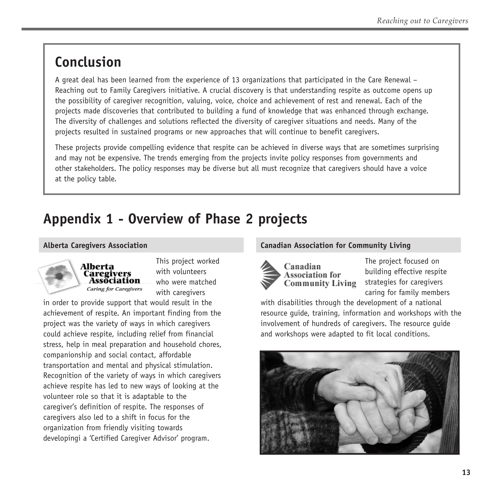# **Conclusion**

A great deal has been learned from the experience of 13 organizations that participated in the Care Renewal – Reaching out to Family Caregivers initiative. A crucial discovery is that understanding respite as outcome opens up the possibility of caregiver recognition, valuing, voice, choice and achievement of rest and renewal. Each of the projects made discoveries that contributed to building a fund of knowledge that was enhanced through exchange. The diversity of challenges and solutions reflected the diversity of caregiver situations and needs. Many of the projects resulted in sustained programs or new approaches that will continue to benefit caregivers.

These projects provide compelling evidence that respite can be achieved in diverse ways that are sometimes surprising and may not be expensive. The trends emerging from the projects invite policy responses from governments and other stakeholders. The policy responses may be diverse but all must recognize that caregivers should have a voice at the policy table.

# **Appendix 1 - Overview of Phase 2 projects**

#### **Alberta Caregivers Association**



This project worked with volunteers who were matched with caregivers

in order to provide support that would result in the achievement of respite. An important finding from the project was the variety of ways in which caregivers could achieve respite, including relief from financial stress, help in meal preparation and household chores, companionship and social contact, affordable transportation and mental and physical stimulation. Recognition of the variety of ways in which caregivers achieve respite has led to new ways of looking at the volunteer role so that it is adaptable to the caregiver's definition of respite. The responses of caregivers also led to a shift in focus for the organization from friendly visiting towards developingi a 'Certified Caregiver Advisor' program.

## **Canadian Association for Community Living**



The project focused on building effective respite strategies for caregivers caring for family members

with disabilities through the development of a national resource guide, training, information and workshops with the involvement of hundreds of caregivers. The resource guide and workshops were adapted to fit local conditions.

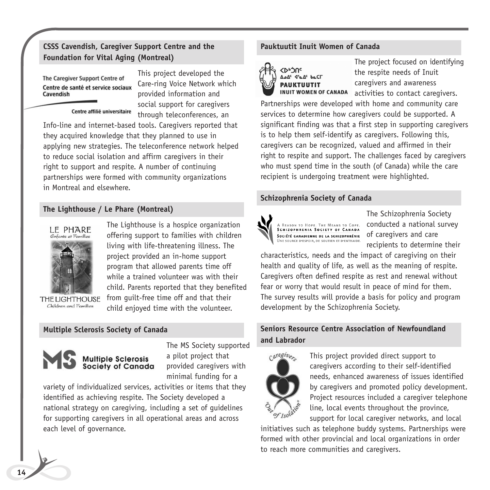### **CSSS Cavendish, Caregiver Support Centre and the Foundation for Vital Aging (Montreal)**

The Caregiver Support Centre of Centre de santé et service sociaux Cavendish

This project developed the Care-ring Voice Network which provided information and social support for caregivers through teleconferences, an

Centre affilié universitaire

Info-line and internet-based tools. Caregivers reported that they acquired knowledge that they planned to use in applying new strategies. The teleconference network helped to reduce social isolation and affirm caregivers in their right to support and respite. A number of continuing partnerships were formed with community organizations in Montreal and elsewhere.

#### **The Lighthouse / Le Phare (Montreal)**



The Lighthouse is a hospice organization offering support to families with children living with life-threatening illness. The project provided an in-home support program that allowed parents time off while a trained volunteer was with their child. Parents reported that they benefited from guilt-free time off and that their child enjoyed time with the volunteer.

THE LIGHTHOUSE Children and Families

#### **Multiple Sclerosis Society of Canada**



The MS Society supported a pilot project that provided caregivers with minimal funding for a

variety of individualized services, activities or items that they identified as achieving respite. The Society developed a national strategy on caregiving, including a set of guidelines for supporting caregivers in all operational areas and across each level of governance.

#### **Pauktuutit Inuit Women of Canada**



The project focused on identifying the respite needs of Inuit caregivers and awareness INUIT WOMEN OF CANADA activities to contact caregivers.

Partnerships were developed with home and community care services to determine how caregivers could be supported. A significant finding was that a first step in supporting caregivers is to help them self-identify as caregivers. Following this, caregivers can be recognized, valued and affirmed in their right to respite and support. The challenges faced by caregivers who must spend time in the south (of Canada) while the care recipient is undergoing treatment were highlighted.

#### **Schizophrenia Society of Canada**



The Schizophrenia Society conducted a national survey of caregivers and care recipients to determine their

characteristics, needs and the impact of caregiving on their health and quality of life, as well as the meaning of respite. Caregivers often defined respite as rest and renewal without fear or worry that would result in peace of mind for them. The survey results will provide a basis for policy and program development by the Schizophrenia Society.

### **Seniors Resource Centre Association of Newfoundland and Labrador**



This project provided direct support to caregivers according to their self-identified needs, enhanced awareness of issues identified by caregivers and promoted policy development. Project resources included a caregiver telephone line, local events throughout the province, support for local caregiver networks, and local

initiatives such as telephone buddy systems. Partnerships were formed with other provincial and local organizations in order to reach more communities and caregivers.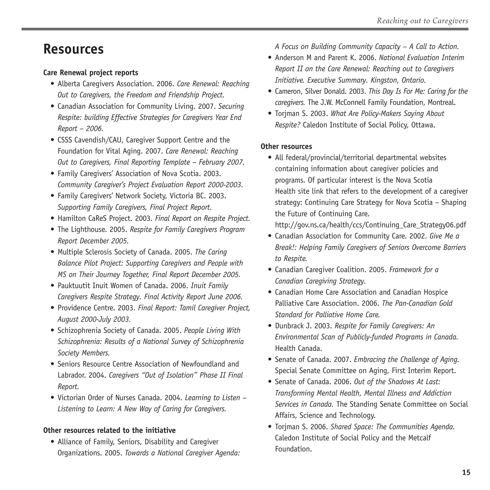# **Resources**

#### **Care Renewal project reports**

- Alberta Caregivers Association. 2006. *Care Renewal: Reaching Out to Caregivers, the Freedom and Friendship Project.*
- Canadian Association for Community Living. 2007. *Securing Respite: building Effective Strategies for Caregivers Year End Report – 2006.*
- CSSS Cavendish/CAU, Caregiver Support Centre and the Foundation for Vital Aging. 2007. *Care Renewal: Reaching Out to Caregivers, Final Reporting Template – February 2007.*
- Family Caregivers' Association of Nova Scotia. 2003. *Community Caregiver's Project Evaluation Report 2000-2003.*
- Family Caregivers' Network Society, Victoria BC. 2003. *Supporting Family Caregivers, Final Project Report.*
- Hamilton CaReS Project. 2003. *Final Report on Respite Project.*
- The Lighthouse. 2005. *Respite for Family Caregivers Program Report December 2005.*
- Multiple Sclerosis Society of Canada. 2005. *The Caring Balance Pilot Project: Supporting Caregivers and People with MS on Their Journey Together, Final Report December 2005.*
- Pauktuutit Inuit Women of Canada. 2006. *Inuit Family Caregivers Respite Strategy. Final Activity Report June 2006.*
- Providence Centre. 2003. *Final Report: Tamil Caregiver Project, August 2000-July 2003.*
- Schizophrenia Society of Canada. 2005. *People Living With Schizophrenia: Results of a National Survey of Schizophrenia Society Members.*
- Seniors Resource Centre Association of Newfoundland and Labrador. 2004. *Caregivers "Out of Isolation" Phase II Final Report.*
- Victorian Order of Nurses Canada. 2004. *Learning to Listen – Listening to Learn: A New Way of Caring for Caregivers.*

## **Other resources related to the initiative**

• Alliance of Family, Seniors, Disability and Caregiver Organizations. 2005. *Towards a National Caregiver Agenda:*  *A Focus on Building Community Capacity – A Call to Action.*

- Anderson M and Parent K. 2006. *National Evaluation Interim Report II on the Care Renewal: Reaching out to Caregivers Initiative. Executive Summary. Kingston, Ontario.*
- Cameron, Silver Donald. 2003. *This Day Is For Me: Caring for the caregivers.* The J.W. McConnell Family Foundation, Montreal.
- Torjman S. 2003. *What Are Policy-Makers Saying About Respite?* Caledon Institute of Social Policy, Ottawa.

#### **Other resources**

• All federal/provincial/territorial departmental websites containing information about caregiver policies and programs. Of particular interest is the Nova Scotia Health site link that refers to the development of a caregiver strategy: Continuing Care Strategy for Nova Scotia – Shaping the Future of Continuing Care.

http://gov.ns.ca/health/ccs/Continuing\_Care\_Strategy06.pdf

- Canadian Association for Community Care. 2002. *Give Me a Break!: Helping Family Caregivers of Seniors Overcome Barriers to Respite.*
- Canadian Caregiver Coalition. 2005. *Framework for a Canadian Caregiving Strategy.*
- Canadian Home Care Association and Canadian Hospice Palliative Care Association. 2006. *The Pan-Canadian Gold Standard for Palliative Home Care.*
- Dunbrack J. 2003. *Respite for Family Caregivers: An Environmental Scan of Publicly-funded Programs in Canada.* Health Canada.
- Senate of Canada. 2007. *Embracing the Challenge of Aging.* Special Senate Committee on Aging, First Interim Report.
- Senate of Canada. 2006. *Out of the Shadows At Last: Transforming Mental Health, Mental Illness and Addiction Services in Canada.* The Standing Senate Committee on Social Affairs, Science and Technology.
- Torjman S. 2006. *Shared Space: The Communities Agenda.* Caledon Institute of Social Policy and the Metcalf Foundation.